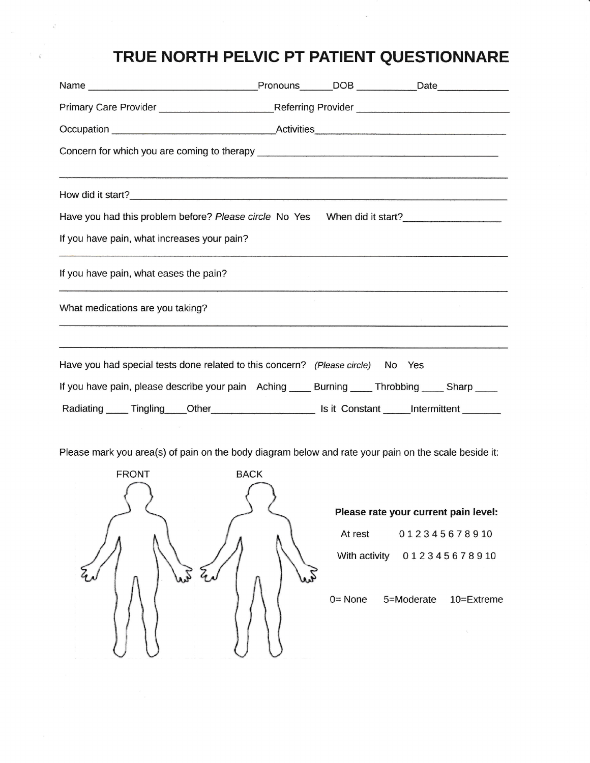## TRUE NORTH PELVIC PT PATIENT QUESTIONNARE

| <b>CONTRACTOR</b> CONTRACTOR CONTRACTOR CONTRACTOR COMPOSITION CONTRACTOR CONTRACTOR CONTRACTOR CONTRACTOR CONTRACTOR |  |  |  |  |  |  |
|-----------------------------------------------------------------------------------------------------------------------|--|--|--|--|--|--|
|                                                                                                                       |  |  |  |  |  |  |
| Have you had this problem before? Please circle No Yes When did it start?                                             |  |  |  |  |  |  |
| If you have pain, what increases your pain?                                                                           |  |  |  |  |  |  |
| If you have pain, what eases the pain?                                                                                |  |  |  |  |  |  |
| What medications are you taking?                                                                                      |  |  |  |  |  |  |
|                                                                                                                       |  |  |  |  |  |  |
| Have you had special tests done related to this concern? (Please circle) No Yes                                       |  |  |  |  |  |  |
| If you have pain, please describe your pain Aching _____ Burning _____ Throbbing _____ Sharp ____                     |  |  |  |  |  |  |
| Radiating Tingling Other Is it Constant Intermittent                                                                  |  |  |  |  |  |  |

Please mark you area(s) of pain on the body diagram below and rate your pain on the scale beside it:



 $\hat{V}=\hat{V}$ 

## Please rate your current pain level:

At rest 012345678910

With activity  $012345678910$ 

0= None 5=Moderate 10=Extreme

 $\bar{V}$